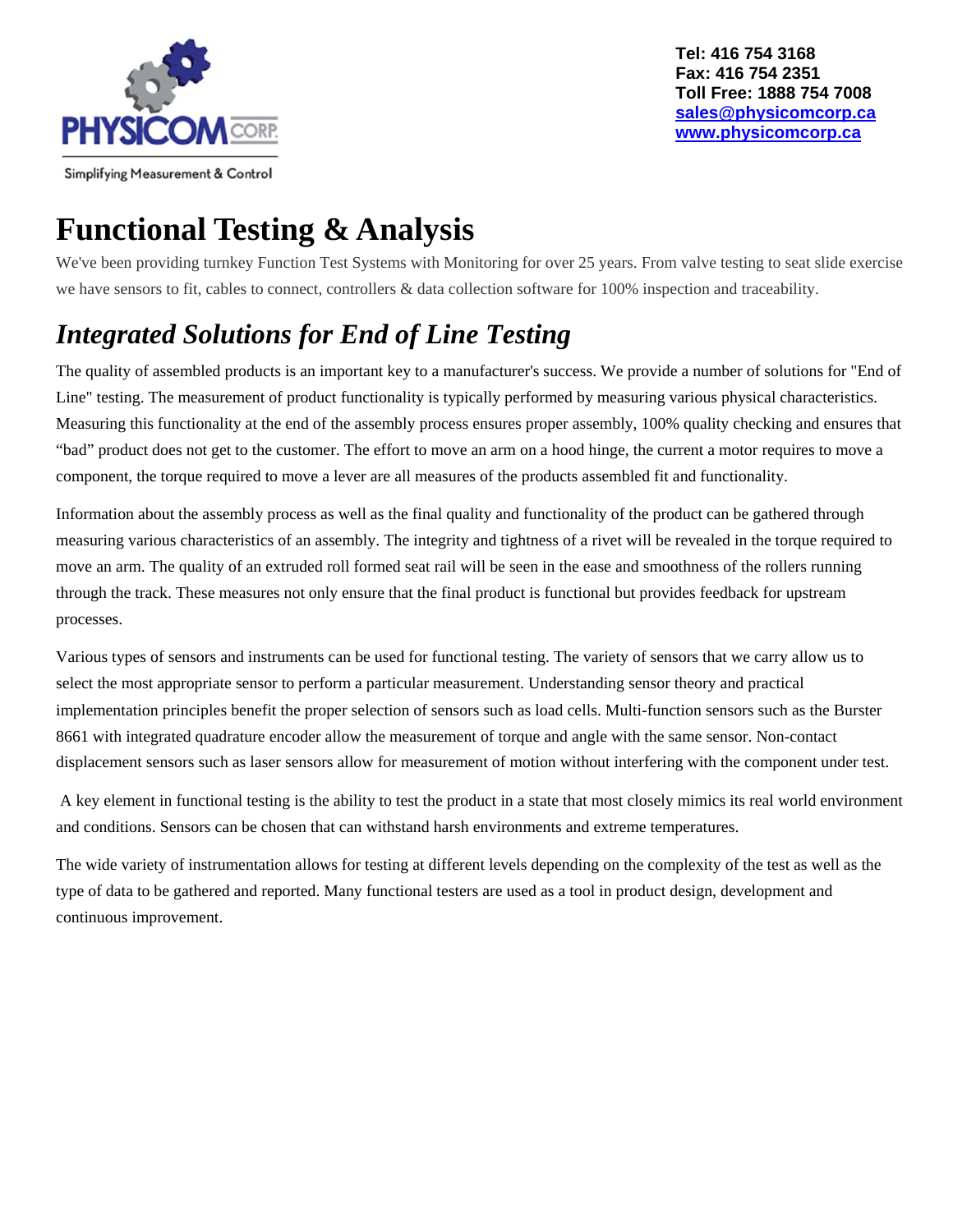

# **Functional Testing & Analysis**

We've been providing turnkey Function Test Systems with Monitoring for over 25 years. From valve testing to seat slide exercise we have sensors to fit, cables to connect, controllers & data collection software for 100% inspection and traceability.

## *Integrated Solutions for End of Line Testing*

The quality of assembled products is an important key to a manufacturer's success. We provide a number of solutions for "End of Line" testing. The measurement of product functionality is typically performed by measuring various physical characteristics. Measuring this functionality at the end of the assembly process ensures proper assembly, 100% quality checking and ensures that "bad" product does not get to the customer. The effort to move an arm on a hood hinge, the current a motor requires to move a component, the torque required to move a lever are all measures of the products assembled fit and functionality.

Information about the assembly process as well as the final quality and functionality of the product can be gathered through measuring various characteristics of an assembly. The integrity and tightness of a rivet will be revealed in the torque required to move an arm. The quality of an extruded roll formed seat rail will be seen in the ease and smoothness of the rollers running through the track. These measures not only ensure that the final product is functional but provides feedback for upstream processes.

Various types of sensors and instruments can be used for functional testing. The variety of sensors that we carry allow us to select the most appropriate sensor to perform a particular measurement. Understanding sensor theory and practical implementation principles benefit the proper selection of sensors such as load cells. Multi-function sensors such as the Burster 8661 with integrated quadrature encoder allow the measurement of torque and angle with the same sensor. Non-contact displacement sensors such as laser sensors allow for measurement of motion without interfering with the component under test.

 A key element in functional testing is the ability to test the product in a state that most closely mimics its real world environment and conditions. Sensors can be chosen that can withstand harsh environments and extreme temperatures.

The wide variety of instrumentation allows for testing at different levels depending on the complexity of the test as well as the type of data to be gathered and reported. Many functional testers are used as a tool in product design, development and continuous improvement.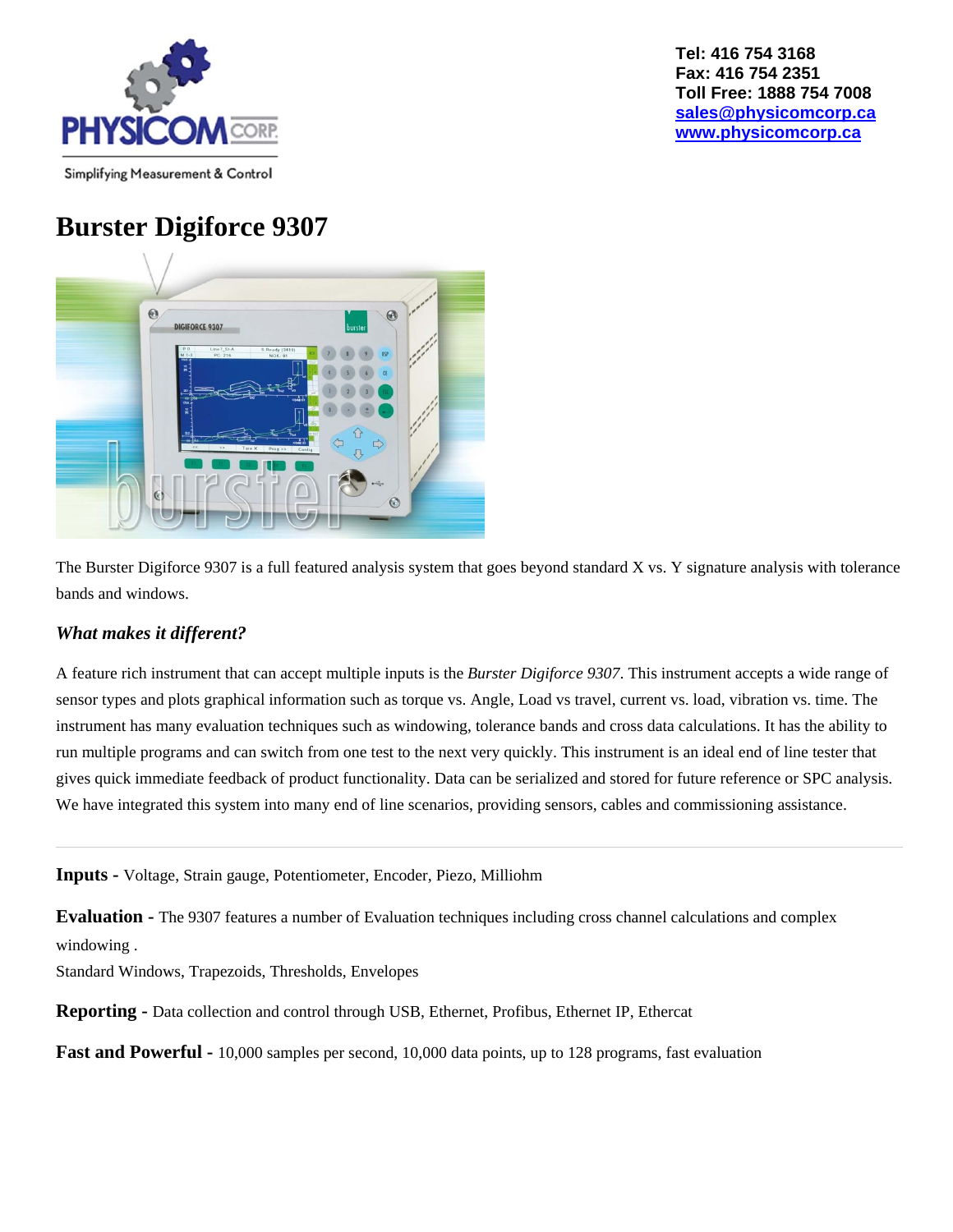

### **Burster Digiforce 9307**



The Burster Digiforce 9307 is a full featured analysis system that goes beyond standard X vs. Y signature analysis with tolerance bands and windows.

#### *What makes it different?*

A feature rich instrument that can accept multiple inputs is the *Burster Digiforce 9307*. This instrument accepts a wide range of sensor types and plots graphical information such as torque vs. Angle, Load vs travel, current vs. load, vibration vs. time. The instrument has many evaluation techniques such as windowing, tolerance bands and cross data calculations. It has the ability to run multiple programs and can switch from one test to the next very quickly. This instrument is an ideal end of line tester that gives quick immediate feedback of product functionality. Data can be serialized and stored for future reference or SPC analysis. We have integrated this system into many end of line scenarios, providing sensors, cables and commissioning assistance.

**Inputs -** Voltage, Strain gauge, Potentiometer, Encoder, Piezo, Milliohm

**Evaluation -** The 9307 features a number of Evaluation techniques including cross channel calculations and complex windowing .

Standard Windows, Trapezoids, Thresholds, Envelopes

**Reporting -** Data collection and control through USB, Ethernet, Profibus, Ethernet IP, Ethercat

**Fast and Powerful -** 10,000 samples per second, 10,000 data points, up to 128 programs, fast evaluation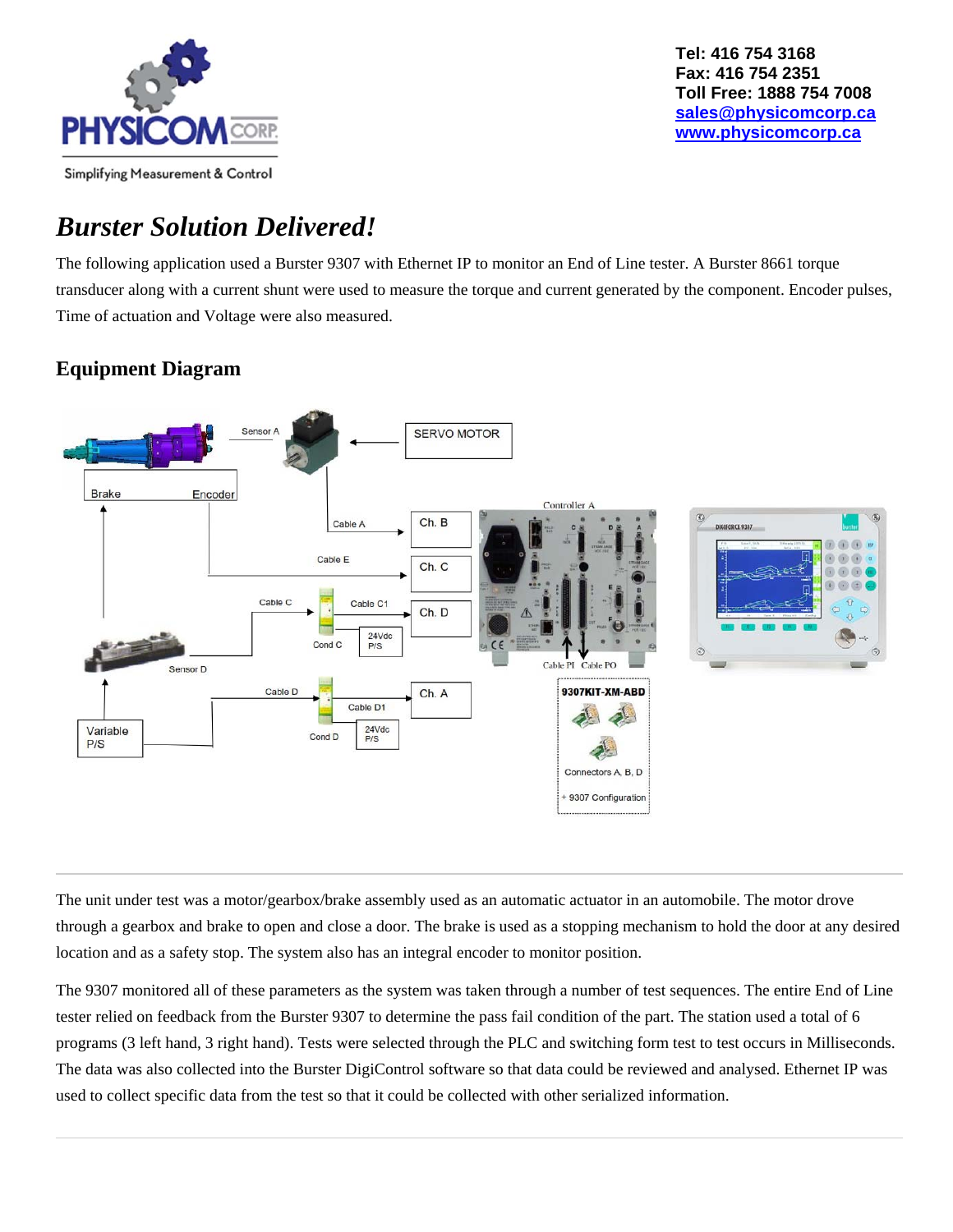

### *Burster Solution Delivered!*

The following application used a Burster 9307 with Ethernet IP to monitor an End of Line tester. A Burster 8661 torque transducer along with a current shunt were used to measure the torque and current generated by the component. Encoder pulses, Time of actuation and Voltage were also measured.

#### **Equipment Diagram**



The unit under test was a motor/gearbox/brake assembly used as an automatic actuator in an automobile. The motor drove through a gearbox and brake to open and close a door. The brake is used as a stopping mechanism to hold the door at any desired location and as a safety stop. The system also has an integral encoder to monitor position.

The 9307 monitored all of these parameters as the system was taken through a number of test sequences. The entire End of Line tester relied on feedback from the Burster 9307 to determine the pass fail condition of the part. The station used a total of 6 programs (3 left hand, 3 right hand). Tests were selected through the PLC and switching form test to test occurs in Milliseconds. The data was also collected into the Burster DigiControl software so that data could be reviewed and analysed. Ethernet IP was used to collect specific data from the test so that it could be collected with other serialized information.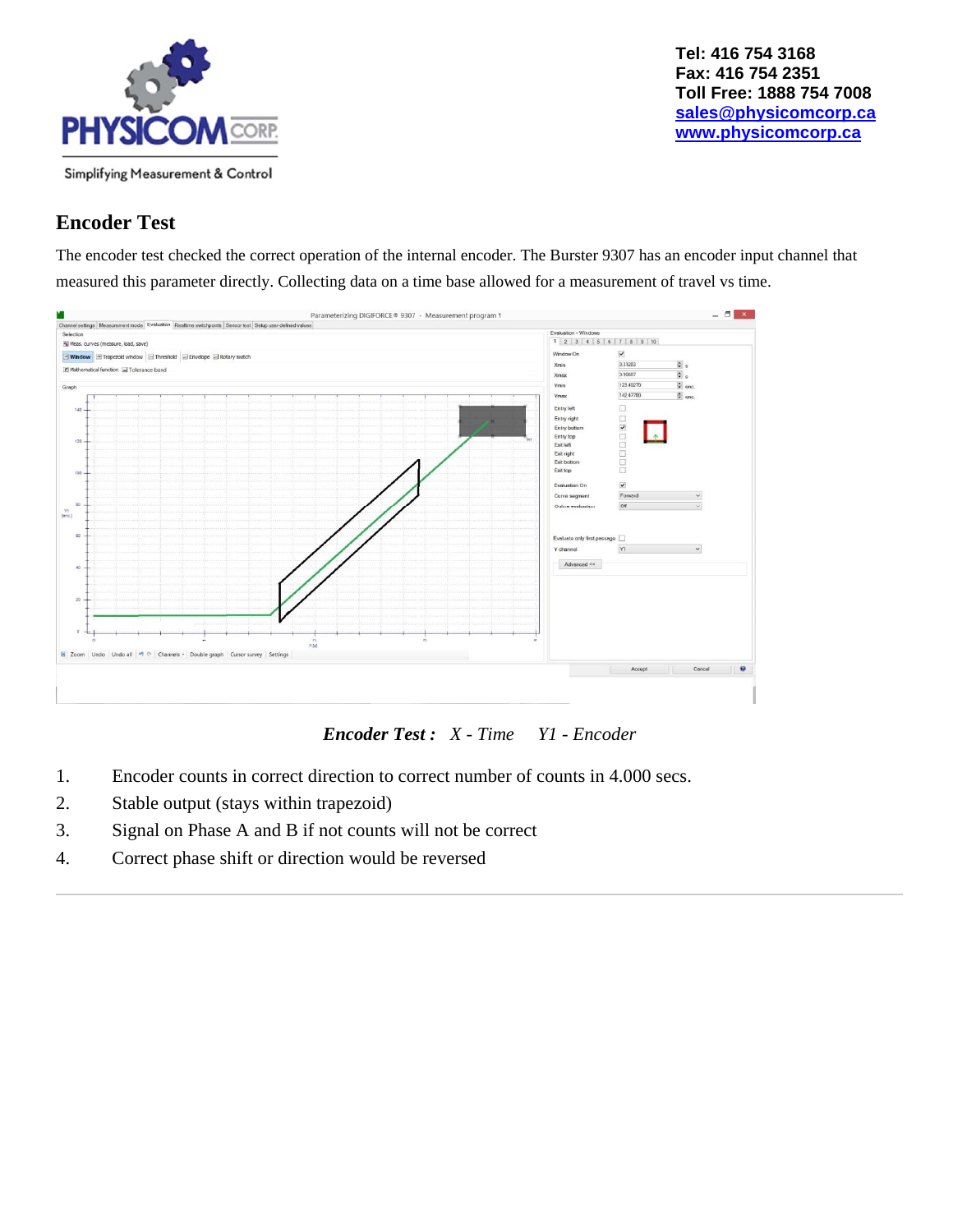

#### **Encoder Test**

The encoder test checked the correct operation of the internal encoder. The Burster 9307 has an encoder input channel that measured this parameter directly. Collecting data on a time base allowed for a measurement of travel vs time.



*Encoder Test : X - Time Y1 - Encoder*

- 1. Encoder counts in correct direction to correct number of counts in 4.000 secs.
- 2. Stable output (stays within trapezoid)
- 3. Signal on Phase A and B if not counts will not be correct
- 4. Correct phase shift or direction would be reversed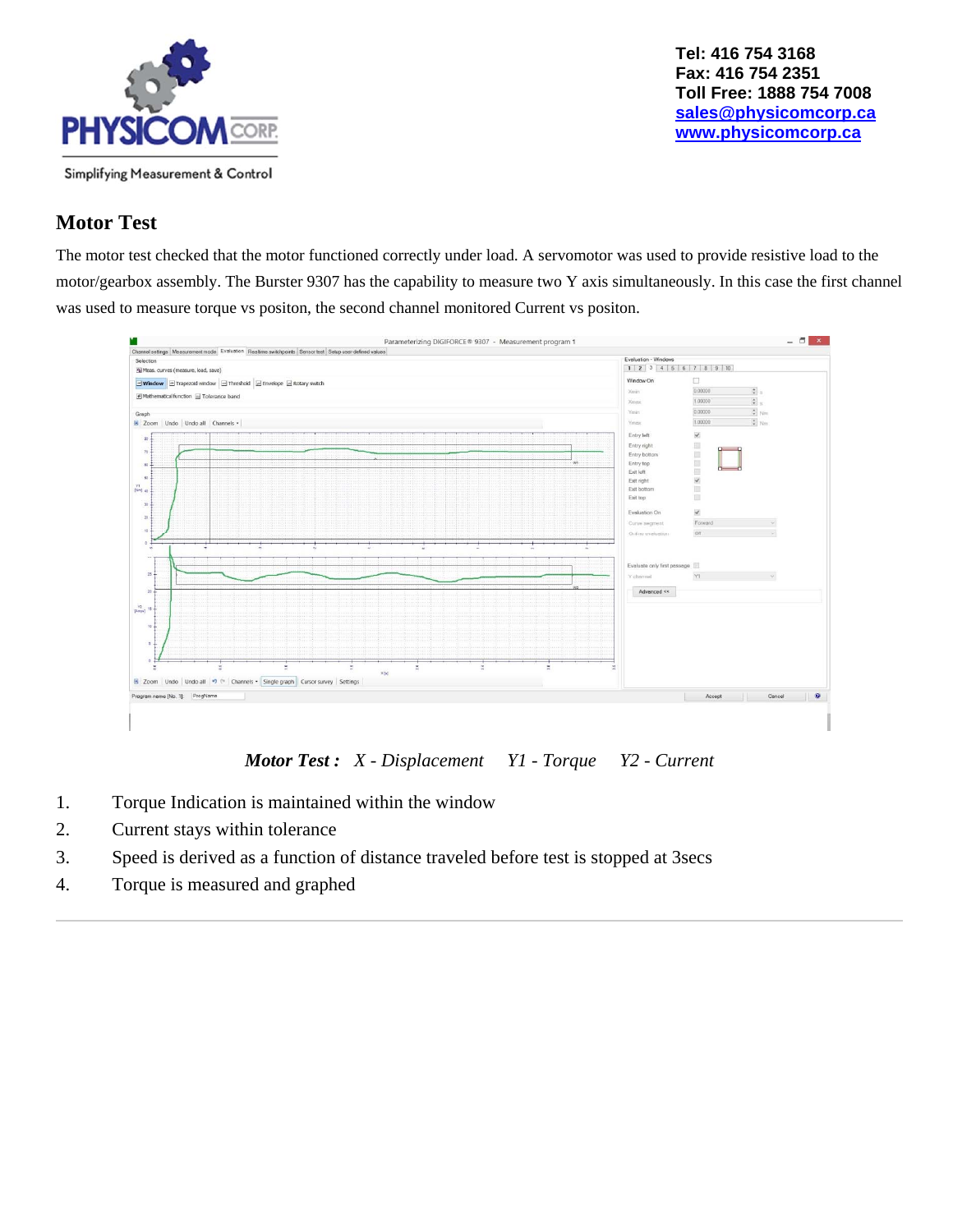

#### **Motor Test**

The motor test checked that the motor functioned correctly under load. A servomotor was used to provide resistive load to the motor/gearbox assembly. The Burster 9307 has the capability to measure two Y axis simultaneously. In this case the first channel was used to measure torque vs positon, the second channel monitored Current vs positon.



*Motor Test : X - Displacement Y1 - Torque Y2 - Current*

- 1. Torque Indication is maintained within the window
- 2. Current stays within tolerance
- 3. Speed is derived as a function of distance traveled before test is stopped at 3secs
- 4. Torque is measured and graphed